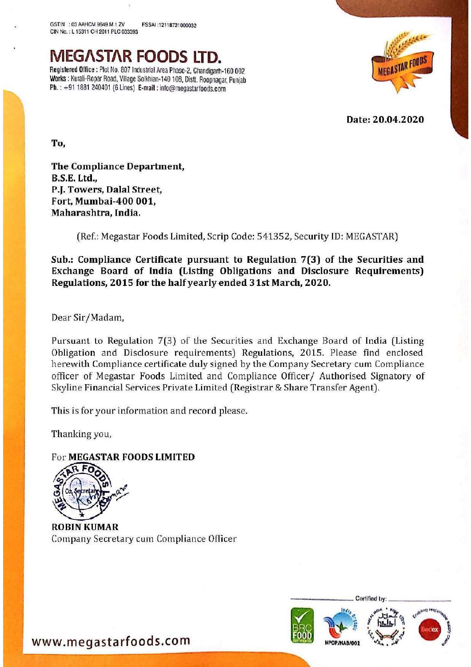GSTIN. :03 AAHCM 9649 M 1 ZV FSSAI :12118721000032 CIN No. : L 15311 CH 2011 PLC 033393,

MEGASTAR FOODS LTD. Registered Office : Plot No. 807 Industrial Area Phase-2, Chandigarh-160 002 Works : Kurali-Ropar Road, Village Solkhian-140 108, Distt. Roopnagar, Punjab Ph. : +91 1881 240401 (6 Lines) E-mail : info@megastarfoods.com



**Date** Date: 20.04.2020

To,

The Compliance Department, B.S.E. Ltd., P.J. Towers, Dalal Street, Fort, Mumbai-400 001, Maharashtra, India.

(Ref.: Megastar Foods Limited, Scrip Code: 541352, Security ID: MEGASTAR)

Sub.: Compliance Certificate pursuant to Regulation 7(3) of the Securities and Exchange Board of India (Listing Obligations and Disclosure Requirements) Regulations, 2015 for the half yearly ended 3 1st March, 2020.

Dear Sir/Madam,

Pursuant to Regulation 7(3) of the Securities and Exchange Board of India (Listing Obligation and Disclosure requirements) Regulations, 2015. Please find enclosed herewith Compliance certificate duly signed by the Company Secretary cum Compliance officer of Megastar Foods Limited and Compliance Officer/ Authorised Signatory of Skyline Financial Services Private Limited (Registrar & Share Transfer Agent).

This is for your information and record please.

Thanking you,

## For MEGASTAR FOODS LIMITED



ROBIN KUMAR Company Secretary cum Compliance Officer



Cortifled by:

w.meg<br>. www.megastarfoods.com